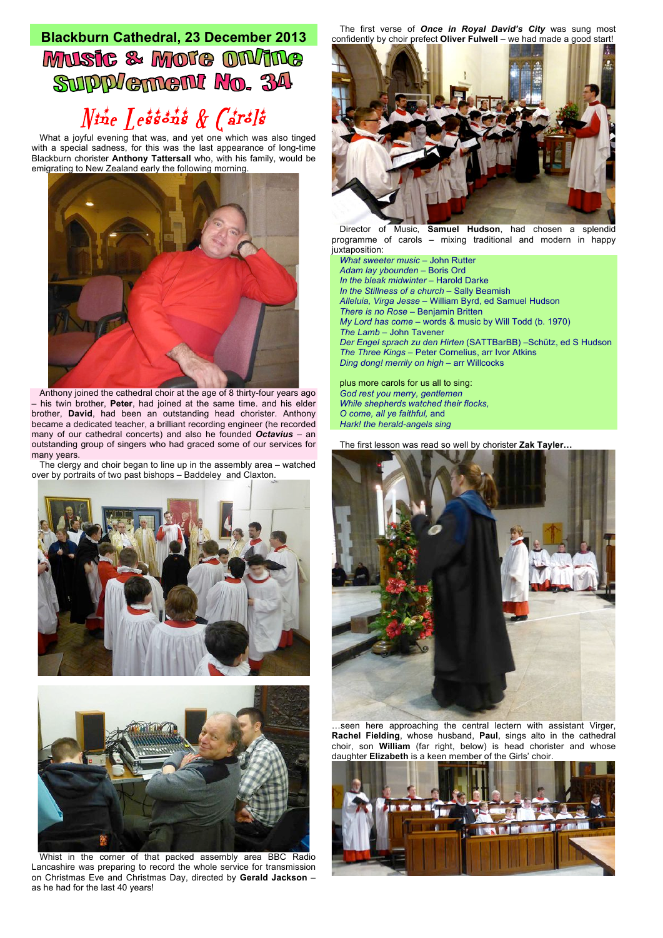## **Blackburn Cathedral, 23 December 2013** Music & Mote ON/INe SUPPLement No. 34

## $N$ ine Lessons & Carols

What a joyful evening that was, and yet one which was also tinged with a special sadness, for this was the last appearance of long-time Blackburn chorister **Anthony Tattersall** who, with his family, would be emigrating to New Zealand early the following morning.



Anthony joined the cathedral choir at the age of 8 thirty-four years ago – his twin brother, **Peter**, had joined at the same time. and his elder brother, **David**, had been an outstanding head chorister. Anthony became a dedicated teacher, a brilliant recording engineer (he recorded many of our cathedral concerts) and also he founded *Octavius* – an outstanding group of singers who had graced some of our services for many years.

The clergy and choir began to line up in the assembly area – watched over by portraits of two past bishops – Baddeley and Claxton.





Whist in the corner of that packed assembly area BBC Radio Lancashire was preparing to record the whole service for transmission on Christmas Eve and Christmas Day, directed by **Gerald Jackson** – as he had for the last 40 years!

The first verse of *Once in Royal David's City* was sung most confidently by choir prefect **Oliver Fulwell** – we had made a good start!



Director of Music, **Samuel Hudson**, had chosen a splendid programme of carols – mixing traditional and modern in happy juxtaposition:

*What sweeter music* – John Rutter *Adam lay ybounden* – Boris Ord *In the bleak midwinter* – Harold Darke *In the Stillness of a church* – Sally Beamish *Alleluia, Virga Jesse* – William Byrd, ed Samuel Hudson *There is no Rose –* Benjamin Britten *My Lord has come –* words & music by Will Todd (b. 1970) *The Lamb –* John Tavener *Der Engel sprach zu den Hirten* (SATTBarBB) –Schütz, ed S Hudson *The Three Kings –* Peter Cornelius, arr Ivor Atkins *Ding dong! merrily on high* – arr Willcocks

plus more carols for us all to sing: *God rest you merry, gentlemen While shepherds watched their flocks, O come, all ye faithful,* and *Hark! the herald-angels sing*

The first lesson was read so well by chorister **Zak Tayler…**



…seen here approaching the central lectern with assistant Virger, **Rachel Fielding**, whose husband, **Paul**, sings alto in the cathedral choir, son **William** (far right, below) is head chorister and whose daughter **Elizabeth** is a keen member of the Girls' choir.